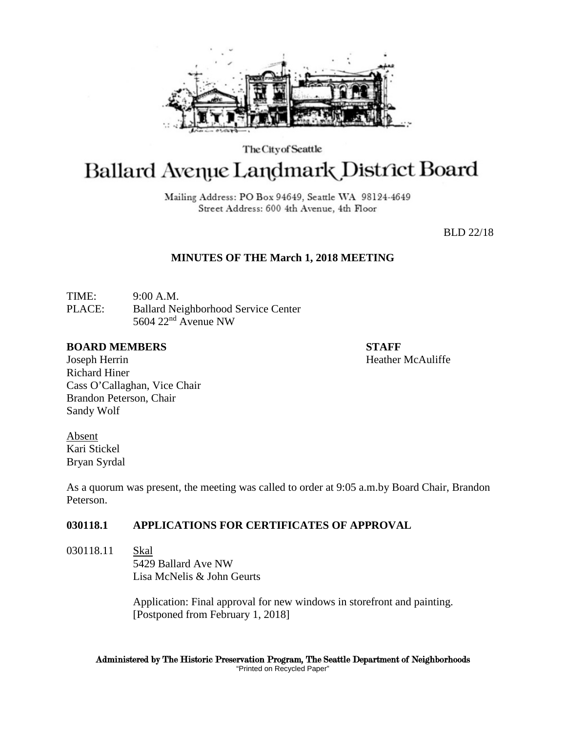

The City of Seattle

# Ballard Avenue Landmark District Board

Mailing Address: PO Box 94649, Seattle WA 98124-4649 Street Address: 600 4th Avenue, 4th Floor

BLD 22/18

# **MINUTES OF THE March 1, 2018 MEETING**

TIME: 9:00 A.M. PLACE: Ballard Neighborhood Service Center 5604 22nd Avenue NW

#### **BOARD MEMBERS STAFF**

Joseph Herrin **Heather McAuliffe Heather McAuliffe** Richard Hiner Cass O'Callaghan, Vice Chair Brandon Peterson, Chair Sandy Wolf

Absent Kari Stickel Bryan Syrdal

As a quorum was present, the meeting was called to order at 9:05 a.m.by Board Chair, Brandon Peterson.

# **030118.1 APPLICATIONS FOR CERTIFICATES OF APPROVAL**

030118.11 Skal 5429 Ballard Ave NW Lisa McNelis & John Geurts

> Application: Final approval for new windows in storefront and painting. [Postponed from February 1, 2018]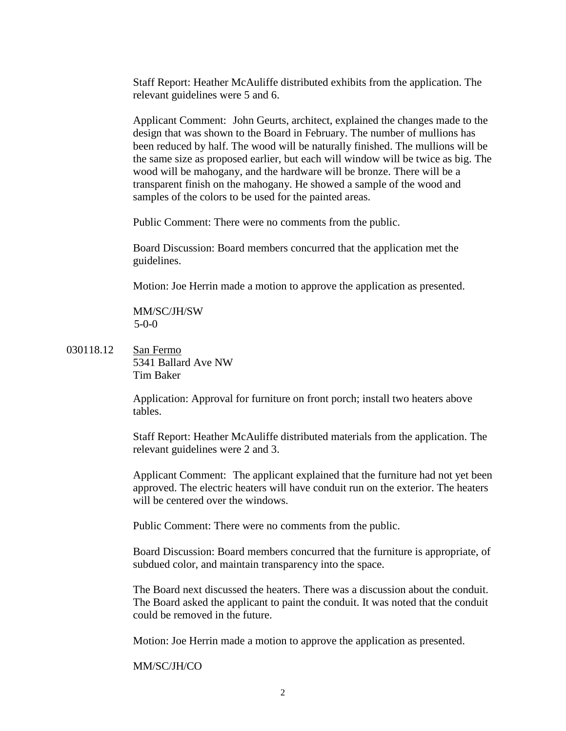Staff Report: Heather McAuliffe distributed exhibits from the application. The relevant guidelines were 5 and 6.

Applicant Comment: John Geurts, architect, explained the changes made to the design that was shown to the Board in February. The number of mullions has been reduced by half. The wood will be naturally finished. The mullions will be the same size as proposed earlier, but each will window will be twice as big. The wood will be mahogany, and the hardware will be bronze. There will be a transparent finish on the mahogany. He showed a sample of the wood and samples of the colors to be used for the painted areas.

Public Comment: There were no comments from the public.

Board Discussion: Board members concurred that the application met the guidelines.

Motion: Joe Herrin made a motion to approve the application as presented.

MM/SC/JH/SW 5-0-0

030118.12 San Fermo 5341 Ballard Ave NW Tim Baker

> Application: Approval for furniture on front porch; install two heaters above tables.

Staff Report: Heather McAuliffe distributed materials from the application. The relevant guidelines were 2 and 3.

Applicant Comment: The applicant explained that the furniture had not yet been approved. The electric heaters will have conduit run on the exterior. The heaters will be centered over the windows.

Public Comment: There were no comments from the public.

Board Discussion: Board members concurred that the furniture is appropriate, of subdued color, and maintain transparency into the space.

The Board next discussed the heaters. There was a discussion about the conduit. The Board asked the applicant to paint the conduit. It was noted that the conduit could be removed in the future.

Motion: Joe Herrin made a motion to approve the application as presented.

### MM/SC/JH/CO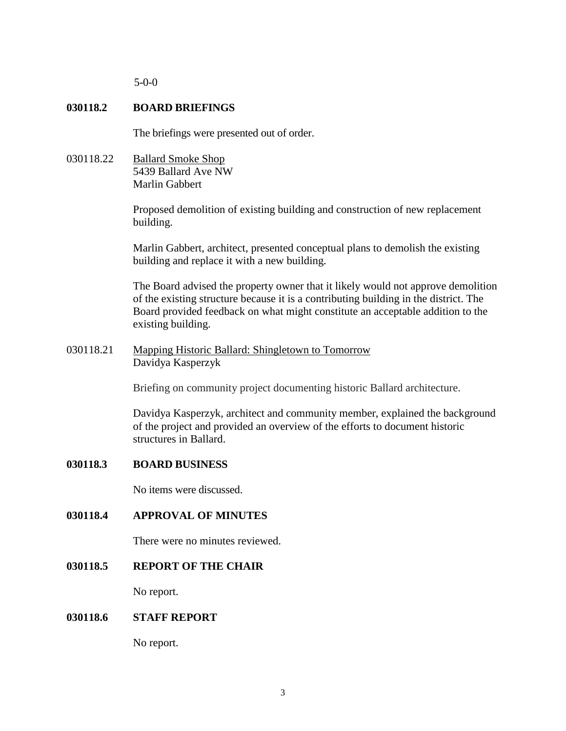5-0-0

# **030118.2 BOARD BRIEFINGS**

The briefings were presented out of order.

030118.22 Ballard Smoke Shop 5439 Ballard Ave NW Marlin Gabbert

> Proposed demolition of existing building and construction of new replacement building.

> Marlin Gabbert, architect, presented conceptual plans to demolish the existing building and replace it with a new building.

The Board advised the property owner that it likely would not approve demolition of the existing structure because it is a contributing building in the district. The Board provided feedback on what might constitute an acceptable addition to the existing building.

030118.21 Mapping Historic Ballard: Shingletown to Tomorrow Davidya Kasperzyk

Briefing on community project documenting historic Ballard architecture.

Davidya Kasperzyk, architect and community member, explained the background of the project and provided an overview of the efforts to document historic structures in Ballard.

# **030118.3 BOARD BUSINESS**

No items were discussed.

**030118.4 APPROVAL OF MINUTES**

There were no minutes reviewed.

**030118.5 REPORT OF THE CHAIR**

No report.

# **030118.6 STAFF REPORT**

No report.